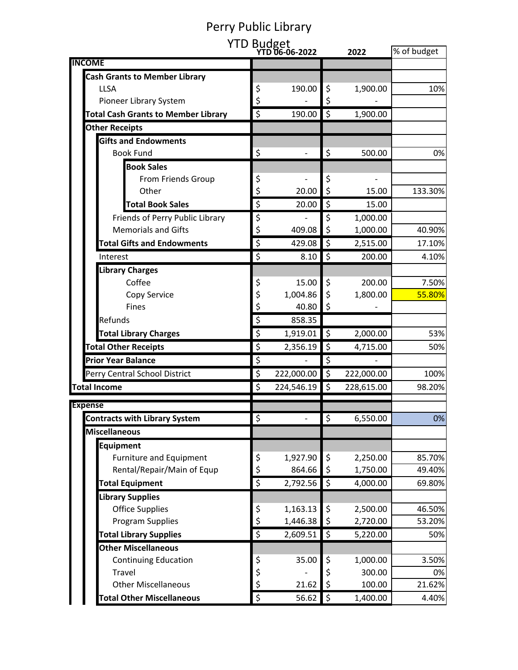## Perry Public Library

|                                            |                         | YTD Budget<br>YTD 06-06-2022 |                        | 2022       | % of budget |
|--------------------------------------------|-------------------------|------------------------------|------------------------|------------|-------------|
| <b>NCOME</b>                               |                         |                              |                        |            |             |
| <b>Cash Grants to Member Library</b>       |                         |                              |                        |            |             |
| <b>LLSA</b>                                | \$                      | 190.00                       | \$                     | 1,900.00   | 10%         |
| Pioneer Library System                     | \$                      |                              | \$                     |            |             |
| <b>Total Cash Grants to Member Library</b> | $\overline{\mathsf{S}}$ | 190.00                       | $\zeta$                | 1,900.00   |             |
| <b>Other Receipts</b>                      |                         |                              |                        |            |             |
| <b>Gifts and Endowments</b>                |                         |                              |                        |            |             |
| <b>Book Fund</b>                           | \$                      |                              | \$                     | 500.00     | 0%          |
| <b>Book Sales</b>                          |                         |                              |                        |            |             |
| From Friends Group                         | \$                      |                              | \$                     |            |             |
| Other                                      | \$                      | 20.00                        | $\zeta$                | 15.00      | 133.30%     |
| <b>Total Book Sales</b>                    | $\overline{\xi}$        | 20.00                        | $\zeta$                | 15.00      |             |
| Friends of Perry Public Library            | \$                      |                              | \$                     | 1,000.00   |             |
| <b>Memorials and Gifts</b>                 | \$                      | 409.08                       | \$                     | 1,000.00   | 40.90%      |
| <b>Total Gifts and Endowments</b>          | $\overline{\varsigma}$  | 429.08                       | \$                     | 2,515.00   | 17.10%      |
| Interest                                   | \$                      | 8.10                         | $\zeta$                | 200.00     | 4.10%       |
| <b>Library Charges</b>                     |                         |                              |                        |            |             |
| Coffee                                     | \$                      | 15.00                        | \$                     | 200.00     | 7.50%       |
| Copy Service                               | \$                      | 1,004.86                     | \$                     | 1,800.00   | 55.80%      |
| <b>Fines</b>                               | \$                      | 40.80                        | \$                     |            |             |
| Refunds                                    | \$                      | 858.35                       |                        |            |             |
| <b>Total Library Charges</b>               | $\overline{\varsigma}$  | 1,919.01                     | \$                     | 2,000.00   | 53%         |
| <b>Total Other Receipts</b>                | \$                      | 2,356.19                     | \$                     | 4,715.00   | 50%         |
| <b>Prior Year Balance</b>                  | \$                      |                              | \$                     |            |             |
| Perry Central School District              | \$                      | 222,000.00                   | \$                     | 222,000.00 | 100%        |
| <b>Total Income</b>                        | \$                      | 224,546.19                   | \$                     | 228,615.00 | 98.20%      |
| <b>Expense</b>                             |                         |                              |                        |            |             |
| <b>Contracts with Library System</b>       | $\overline{\varsigma}$  |                              | $\overline{\varsigma}$ | 6,550.00   | 0%          |
| <b>Miscellaneous</b>                       |                         |                              |                        |            |             |
| Equipment                                  |                         |                              |                        |            |             |
| Furniture and Equipment                    | \$                      | 1,927.90                     | \$                     | 2,250.00   | 85.70%      |
| Rental/Repair/Main of Equp                 | \$                      | 864.66                       | \$                     | 1,750.00   | 49.40%      |
| <b>Total Equipment</b>                     | $\overline{\xi}$        | 2,792.56                     | \$                     | 4,000.00   | 69.80%      |
| <b>Library Supplies</b>                    |                         |                              |                        |            |             |
| <b>Office Supplies</b>                     | \$                      | 1,163.13                     | \$                     | 2,500.00   | 46.50%      |
| Program Supplies                           | \$                      | 1,446.38                     | \$                     | 2,720.00   | 53.20%      |
| <b>Total Library Supplies</b>              | $\overline{\xi}$        | 2,609.51                     | \$                     | 5,220.00   | 50%         |
| <b>Other Miscellaneous</b>                 |                         |                              |                        |            |             |
| <b>Continuing Education</b>                | \$                      | 35.00                        | \$                     | 1,000.00   | 3.50%       |
| <b>Travel</b>                              | \$                      |                              | \$                     | 300.00     | 0%          |
| <b>Other Miscellaneous</b>                 | $\zeta$                 | 21.62                        | \$                     | 100.00     | 21.62%      |
| <b>Total Other Miscellaneous</b>           | $\overline{\xi}$        | 56.62                        | \$                     | 1,400.00   | 4.40%       |